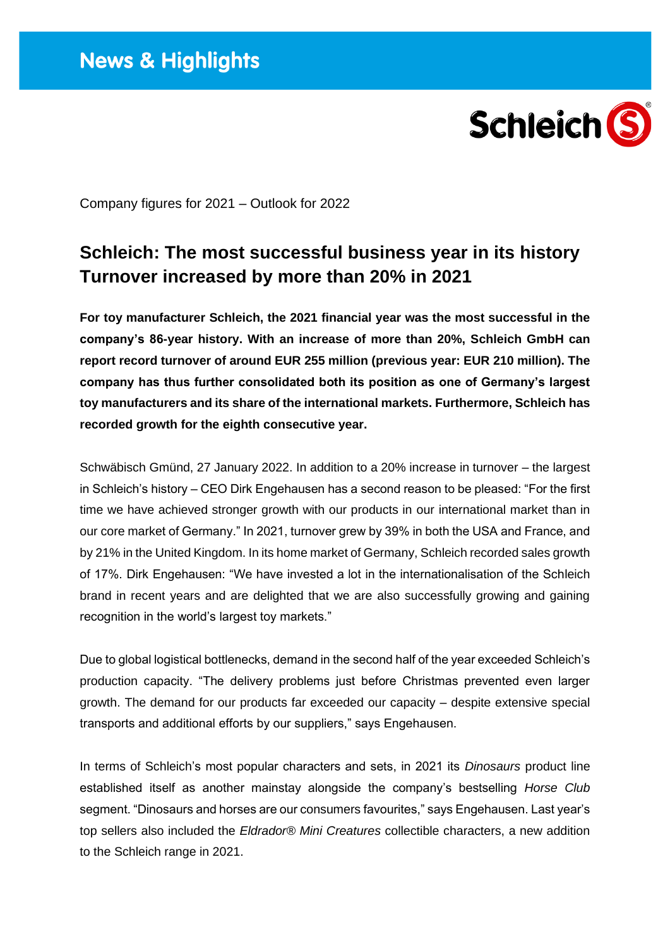

Company figures for 2021 – Outlook for 2022

## **Schleich: The most successful business year in its history Turnover increased by more than 20% in 2021**

**For toy manufacturer Schleich, the 2021 financial year was the most successful in the company's 86-year history. With an increase of more than 20%, Schleich GmbH can report record turnover of around EUR 255 million (previous year: EUR 210 million). The company has thus further consolidated both its position as one of Germany's largest toy manufacturers and its share of the international markets. Furthermore, Schleich has recorded growth for the eighth consecutive year.** 

Schwäbisch Gmünd, 27 January 2022. In addition to a 20% increase in turnover – the largest in Schleich's history – CEO Dirk Engehausen has a second reason to be pleased: "For the first time we have achieved stronger growth with our products in our international market than in our core market of Germany." In 2021, turnover grew by 39% in both the USA and France, and by 21% in the United Kingdom. In its home market of Germany, Schleich recorded sales growth of 17%. Dirk Engehausen: "We have invested a lot in the internationalisation of the Schleich brand in recent years and are delighted that we are also successfully growing and gaining recognition in the world's largest toy markets."

Due to global logistical bottlenecks, demand in the second half of the year exceeded Schleich's production capacity. "The delivery problems just before Christmas prevented even larger growth. The demand for our products far exceeded our capacity – despite extensive special transports and additional efforts by our suppliers," says Engehausen.

In terms of Schleich's most popular characters and sets, in 2021 its *Dinosaurs* product line established itself as another mainstay alongside the company's bestselling *Horse Club* segment. "Dinosaurs and horses are our consumers favourites," says Engehausen. Last year's top sellers also included the *Eldrador® Mini Creatures* collectible characters, a new addition to the Schleich range in 2021.